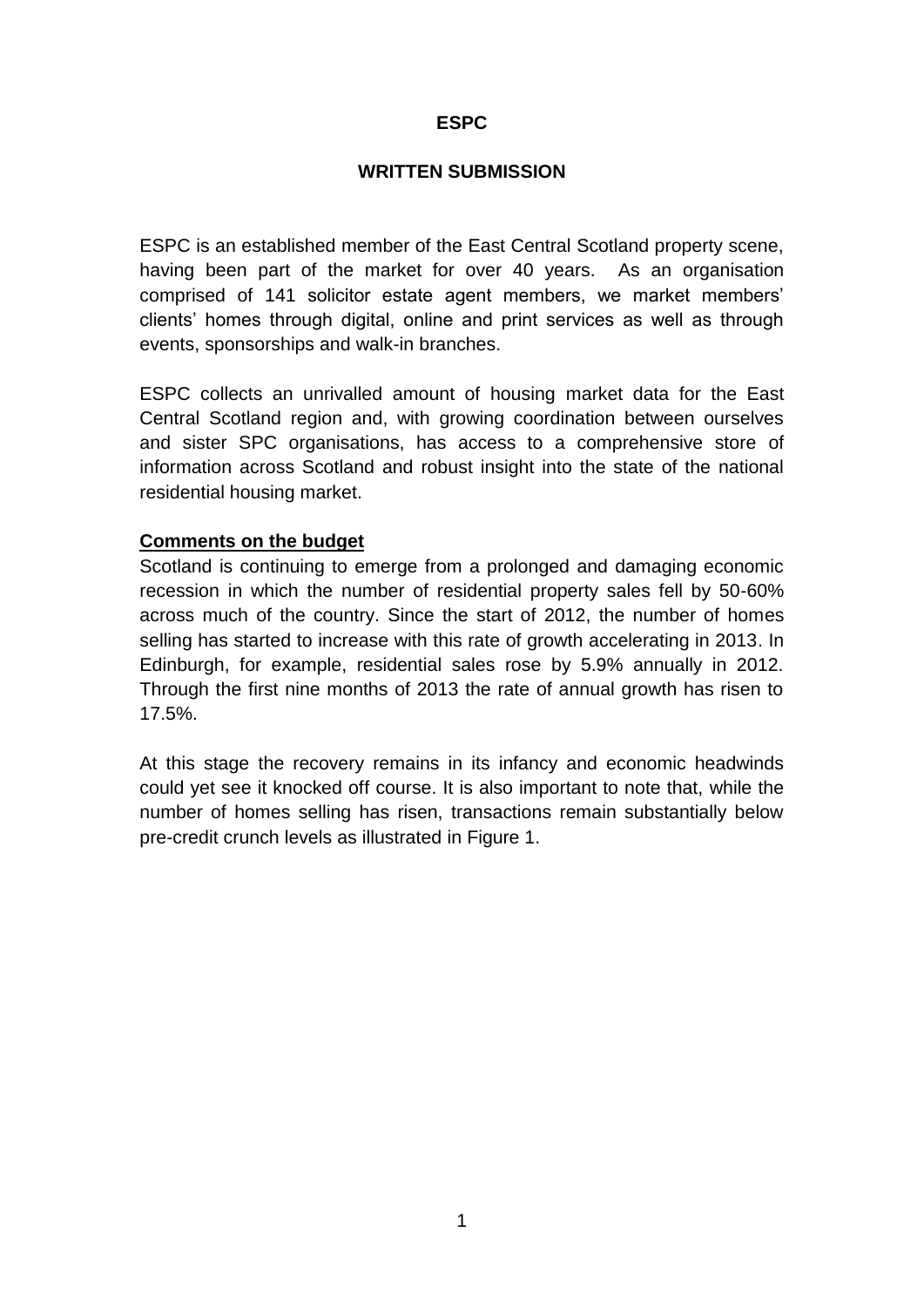## **ESPC**

#### **WRITTEN SUBMISSION**

ESPC is an established member of the East Central Scotland property scene, having been part of the market for over 40 years. As an organisation comprised of 141 solicitor estate agent members, we market members' clients' homes through digital, online and print services as well as through events, sponsorships and walk-in branches.

ESPC collects an unrivalled amount of housing market data for the East Central Scotland region and, with growing coordination between ourselves and sister SPC organisations, has access to a comprehensive store of information across Scotland and robust insight into the state of the national residential housing market.

### **Comments on the budget**

Scotland is continuing to emerge from a prolonged and damaging economic recession in which the number of residential property sales fell by 50-60% across much of the country. Since the start of 2012, the number of homes selling has started to increase with this rate of growth accelerating in 2013. In Edinburgh, for example, residential sales rose by 5.9% annually in 2012. Through the first nine months of 2013 the rate of annual growth has risen to 17.5%.

At this stage the recovery remains in its infancy and economic headwinds could yet see it knocked off course. It is also important to note that, while the number of homes selling has risen, transactions remain substantially below pre-credit crunch levels as illustrated in Figure 1.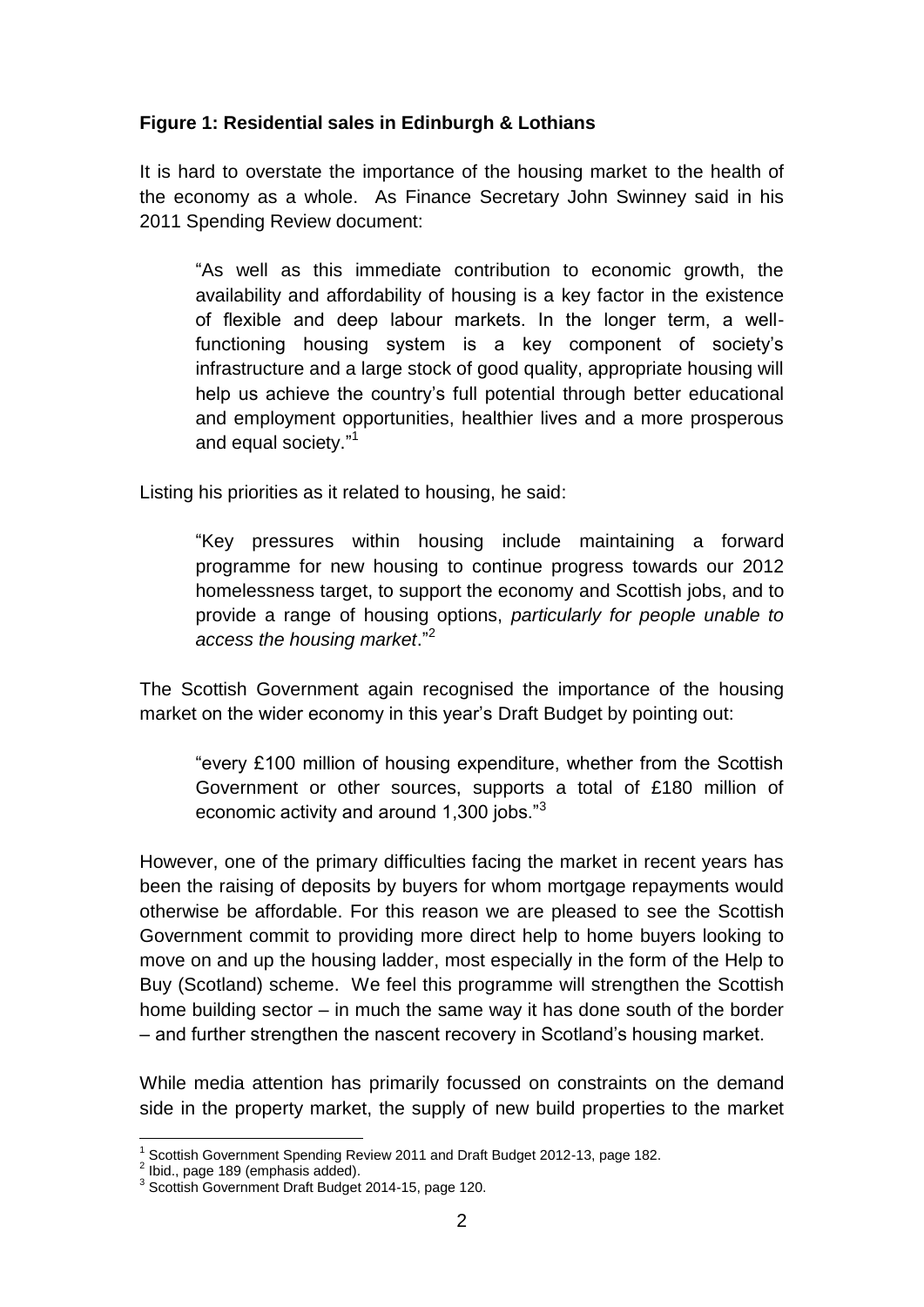# **Figure 1: Residential sales in Edinburgh & Lothians**

It is hard to overstate the importance of the housing market to the health of the economy as a whole. As Finance Secretary John Swinney said in his 2011 Spending Review document:

"As well as this immediate contribution to economic growth, the availability and affordability of housing is a key factor in the existence of flexible and deep labour markets. In the longer term, a wellfunctioning housing system is a key component of society's infrastructure and a large stock of good quality, appropriate housing will help us achieve the country's full potential through better educational and employment opportunities, healthier lives and a more prosperous and equal society." 1

Listing his priorities as it related to housing, he said:

"Key pressures within housing include maintaining a forward programme for new housing to continue progress towards our 2012 homelessness target, to support the economy and Scottish jobs, and to provide a range of housing options, *particularly for people unable to access the housing market*." 2

The Scottish Government again recognised the importance of the housing market on the wider economy in this year's Draft Budget by pointing out:

"every £100 million of housing expenditure, whether from the Scottish Government or other sources, supports a total of £180 million of economic activity and around 1,300 jobs."<sup>3</sup>

However, one of the primary difficulties facing the market in recent years has been the raising of deposits by buyers for whom mortgage repayments would otherwise be affordable. For this reason we are pleased to see the Scottish Government commit to providing more direct help to home buyers looking to move on and up the housing ladder, most especially in the form of the Help to Buy (Scotland) scheme. We feel this programme will strengthen the Scottish home building sector – in much the same way it has done south of the border – and further strengthen the nascent recovery in Scotland's housing market.

While media attention has primarily focussed on constraints on the demand side in the property market, the supply of new build properties to the market

 $\overline{a}$ <sup>1</sup> Scottish Government Spending Review 2011 and Draft Budget 2012-13, page 182.

 $2$  Ibid., page 189 (emphasis added).

<sup>&</sup>lt;sup>3</sup> Scottish Government Draft Budget 2014-15, page 120.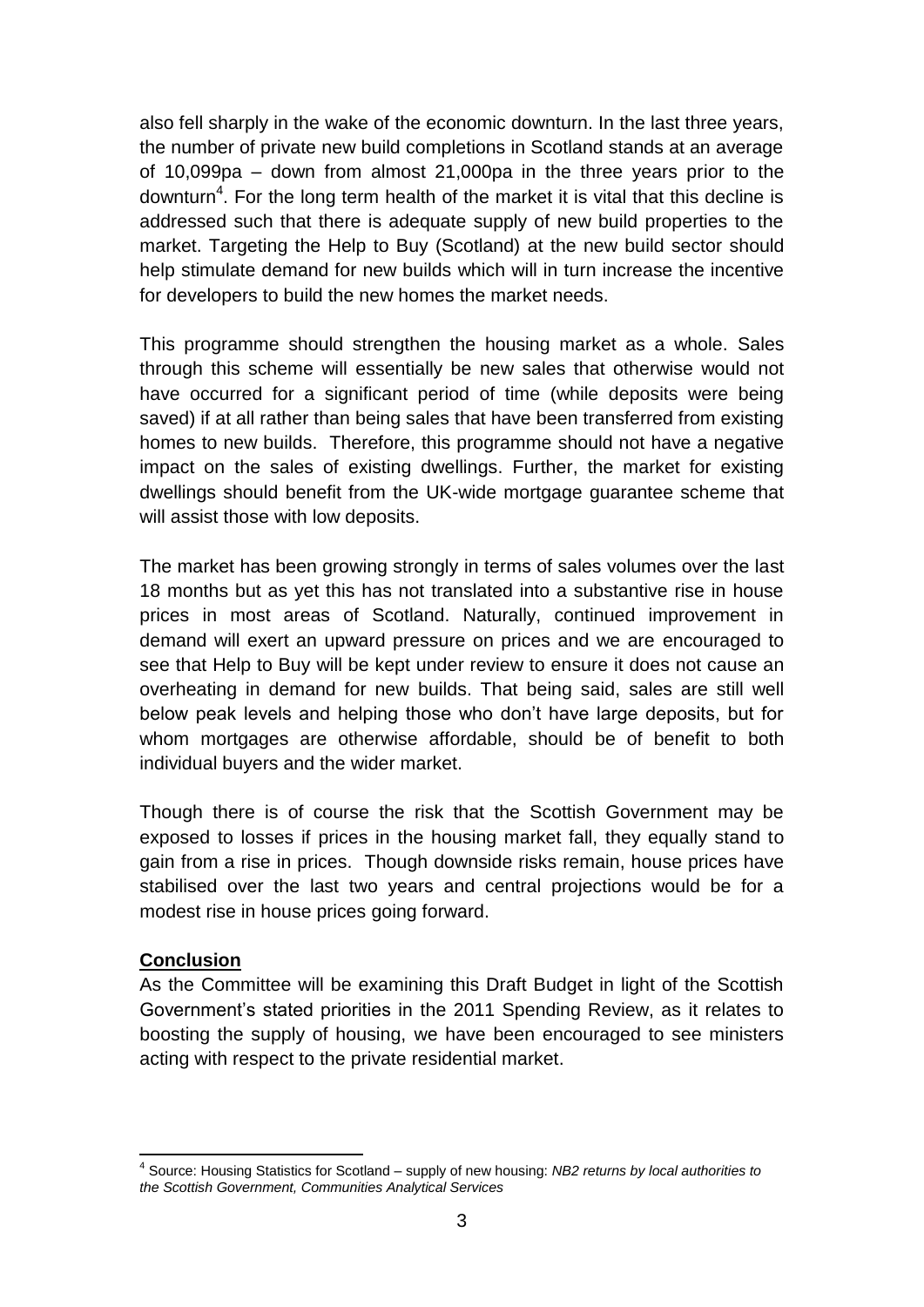also fell sharply in the wake of the economic downturn. In the last three years, the number of private new build completions in Scotland stands at an average of 10,099pa – down from almost 21,000pa in the three years prior to the downturn<sup>4</sup>. For the long term health of the market it is vital that this decline is addressed such that there is adequate supply of new build properties to the market. Targeting the Help to Buy (Scotland) at the new build sector should help stimulate demand for new builds which will in turn increase the incentive for developers to build the new homes the market needs.

This programme should strengthen the housing market as a whole. Sales through this scheme will essentially be new sales that otherwise would not have occurred for a significant period of time (while deposits were being saved) if at all rather than being sales that have been transferred from existing homes to new builds. Therefore, this programme should not have a negative impact on the sales of existing dwellings. Further, the market for existing dwellings should benefit from the UK-wide mortgage guarantee scheme that will assist those with low deposits.

The market has been growing strongly in terms of sales volumes over the last 18 months but as yet this has not translated into a substantive rise in house prices in most areas of Scotland. Naturally, continued improvement in demand will exert an upward pressure on prices and we are encouraged to see that Help to Buy will be kept under review to ensure it does not cause an overheating in demand for new builds. That being said, sales are still well below peak levels and helping those who don't have large deposits, but for whom mortgages are otherwise affordable, should be of benefit to both individual buyers and the wider market.

Though there is of course the risk that the Scottish Government may be exposed to losses if prices in the housing market fall, they equally stand to gain from a rise in prices. Though downside risks remain, house prices have stabilised over the last two years and central projections would be for a modest rise in house prices going forward.

## **Conclusion**

As the Committee will be examining this Draft Budget in light of the Scottish Government's stated priorities in the 2011 Spending Review, as it relates to boosting the supply of housing, we have been encouraged to see ministers acting with respect to the private residential market.

 4 Source: Housing Statistics for Scotland – supply of new housing: *NB2 returns by local authorities to the Scottish Government, Communities Analytical Services*